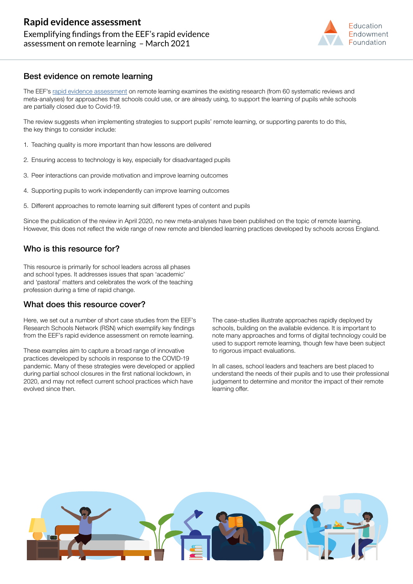

## Best evidence on remote learning

The EEF's [rapid evidence assessment](https://eef.li/distance-learning-rea) on remote learning examines the existing research (from 60 systematic reviews and meta-analyses) for approaches that schools could use, or are already using, to support the learning of pupils while schools are partially closed due to Covid-19.

The review suggests when implementing strategies to support pupils' remote learning, or supporting parents to do this, the key things to consider include:

- 1. Teaching quality is more important than how lessons are delivered
- 2. Ensuring access to technology is key, especially for disadvantaged pupils
- 3. Peer interactions can provide motivation and improve learning outcomes
- 4. Supporting pupils to work independently can improve learning outcomes
- 5. Different approaches to remote learning suit different types of content and pupils

Since the publication of the review in April 2020, no new meta-analyses have been published on the topic of remote learning. However, this does not reflect the wide range of new remote and blended learning practices developed by schools across England.

# Who is this resource for?

This resource is primarily for school leaders across all phases and school types. It addresses issues that span 'academic' and 'pastoral' matters and celebrates the work of the teaching profession during a time of rapid change.

### What does this resource cover?

Here, we set out a number of short case studies from the EEF's Research Schools Network (RSN) which exemplify key findings from the EEF's rapid evidence assessment on remote learning.

These examples aim to capture a broad range of innovative practices developed by schools in response to the COVID-19 pandemic. Many of these strategies were developed or applied during partial school closures in the first national lockdown, in 2020, and may not reflect current school practices which have evolved since then.

The case-studies illustrate approaches rapidly deployed by schools, building on the available evidence. It is important to note many approaches and forms of digital technology could be used to support remote learning, though few have been subject to rigorous impact evaluations.

In all cases, school leaders and teachers are best placed to understand the needs of their pupils and to use their professional judgement to determine and monitor the impact of their remote learning offer.

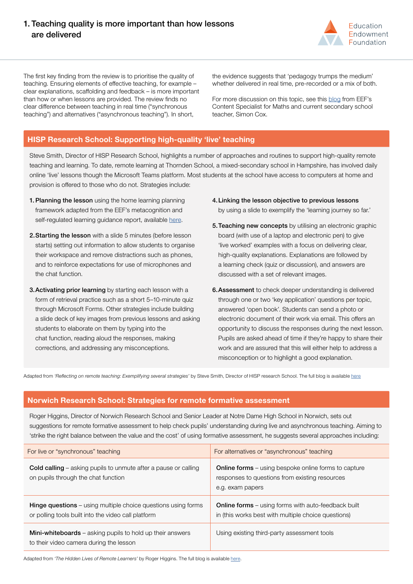# 1. Teaching quality is more important than how lessons are delivered



The first key finding from the review is to prioritise the quality of teaching. Ensuring elements of effective teaching, for example – clear explanations, scaffolding and feedback – is more important than how or when lessons are provided. The review finds no clear difference between teaching in real time ("synchronous teaching") and alternatives ("asynchronous teaching"). In short,

the evidence suggests that 'pedagogy trumps the medium' whether delivered in real time, pre-recorded or a mix of both.

For more discussion on this topic, see this [blog](https://educationendowmentfoundation.org.uk/news/eef-blog-live-teaching-and-pre-recorded-video-lessons/) from EEF's Content Specialist for Maths and current secondary school teacher, Simon Cox.

### **HISP Research School: Supporting high-quality 'live' teaching**

Steve Smith, Director of HISP Research School, highlights a number of approaches and routines to support high-quality remote teaching and learning. To date, remote learning at Thornden School, a mixed-secondary school in Hampshire, has involved daily online 'live' lessons though the Microsoft Teams platform. Most students at the school have access to computers at home and provision is offered to those who do not. Strategies include:

- 1. Planning the lesson using the home learning planning framework adapted from the EEF's metacognition and self-regulated learning guidance report, available [here](https://educationendowmentfoundation.org.uk/covid-19-resources/support-resources-for-schools/).
- 2.Starting the lesson with a slide 5 minutes (before lesson starts) setting out information to allow students to organise their workspace and remove distractions such as phones, and to reinforce expectations for use of microphones and the chat function.
- **3. Activating prior learning** by starting each lesson with a form of retrieval practice such as a short 5–10-minute quiz through Microsoft Forms. Other strategies include building a slide deck of key images from previous lessons and asking students to elaborate on them by typing into the chat function, reading aloud the responses, making corrections, and addressing any misconceptions.
- 4.Linking the lesson objective to previous lessons by using a slide to exemplify the 'learning journey so far.'
- 5.Teaching new concepts by utilising an electronic graphic board (with use of a laptop and electronic pen) to give 'live worked' examples with a focus on delivering clear, high-quality explanations. Explanations are followed by a learning check (quiz or discussion), and answers are discussed with a set of relevant images.
- 6.Assessment to check deeper understanding is delivered through one or two 'key application' questions per topic, answered 'open book'. Students can send a photo or electronic document of their work via email. This offers an opportunity to discuss the responses during the next lesson. Pupils are asked ahead of time if they're happy to share their work and are assured that this will either help to address a misconception or to highlight a good explanation.

Adapted from *'Reflecting on remote teaching: Exemplifying several strategies'* by Steve Smith, Director of HISP research School. The full blog is available [here](https://researchschool.org.uk/hisp/news/reflecting-on-remote-teaching)

#### **Norwich Research School: Strategies for remote formative assessment**

Roger Higgins, Director of Norwich Research School and Senior Leader at Notre Dame High School in Norwich, sets out suggestions for remote formative assessment to help check pupils' understanding during live and asynchronous teaching. Aiming to 'strike the right balance between the value and the cost' of using formative assessment, he suggests several approaches including:

| For live or "synchronous" teaching                                                                                          | For alternatives or "asynchronous" teaching                                                                                       |
|-----------------------------------------------------------------------------------------------------------------------------|-----------------------------------------------------------------------------------------------------------------------------------|
| <b>Cold calling</b> – asking pupils to unmute after a pause or calling<br>on pupils through the chat function               | <b>Online forms</b> – using bespoke online forms to capture<br>responses to questions from existing resources<br>e.g. exam papers |
| <b>Hinge questions</b> – using multiple choice questions using forms<br>or polling tools built into the video call platform | <b>Online forms</b> – using forms with auto-feedback built<br>in (this works best with multiple choice questions)                 |
| <b>Mini-whiteboards</b> – asking pupils to hold up their answers<br>to their video camera during the lesson                 | Using existing third-party assessment tools                                                                                       |

Adapted from *'The Hidden Lives of Remote Learners'* by Roger Higgins. The full blog is available [here](https://researchschool.org.uk/norwich/news/the-hidden-lives-of-remote-learners).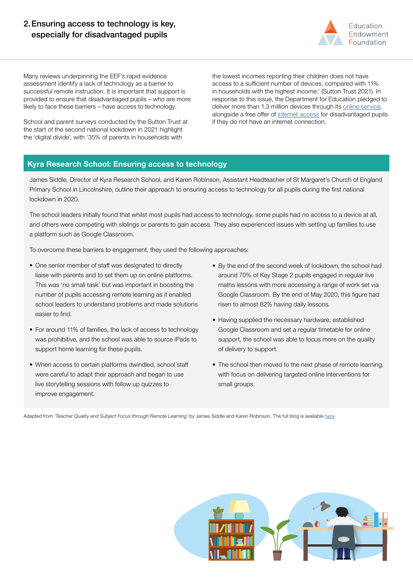# 2.Ensuring access to technology is key, especially for disadvantaged pupils



Many reviews underpinning the EEF's rapid evidence assessment identify a lack of technology as a barrier to successful remote instruction. It is important that support is provided to ensure that disadvantaged pupils – who are more likely to face these barriers – have access to technology.

School and parent surveys conducted by the Sutton Trust at the start of the second national lockdown in 2021 highlight the 'digital divide', with '35% of parents in households with

the lowest incomes reporting their children does not have access to a sufficient number of devices, compared with 11% in households with the highest income.' (Sutton Trust 2021). In response to this issue, the Department for Education pledged to deliver more than 1.3 million devices through its [online service](https://www.gov.uk/guidance/get-laptops-and-tablets-for-children-who-cannot-attend-school-due-to-coronavirus-covid-19), alongside a free offer of [internet access](https://get-help-with-tech.education.gov.uk/internet-access) for disadvantaged pupils if they do not have an internet connection.

# **Kyra Research School: Ensuring access to technology**

James Siddle, Director of Kyra Research School, and Karen Robinson, Assistant Headteacher of St Margaret's Church of England Primary School in Lincolnshire, outline their approach to ensuring access to technology for all pupils during the first national lockdown in 2020.

The school leaders initially found that whilst most pupils had access to technology, some pupils had no access to a device at all, and others were competing with siblings or parents to gain access. They also experienced issues with setting up families to use a platform such as Google Classroom.

To overcome these barriers to engagement, they used the following approaches:

- One senior member of staff was designated to directly liaise with parents and to set them up on online platforms. This was 'no small task' but was important in boosting the number of pupils accessing remote learning as it enabled school leaders to understand problems and made solutions easier to find.
- For around 11% of families, the lack of access to technology was prohibitive, and the school was able to source iPads to support home learning for these pupils.
- When access to certain platforms dwindled, school staff were careful to adapt their approach and began to use live storytelling sessions with follow up quizzes to improve engagement.
- By the end of the second week of lockdown, the school had around 70% of Key Stage 2 pupils engaged in regular live maths lessons with more accessing a range of work set via Google Classroom. By the end of May 2020, this figure had risen to almost 82% having daily lessons.
- Having supplied the necessary hardware, established Google Classroom and set a regular timetable for online support, the school was able to focus more on the quality of delivery to support.
- The school then moved to the next phase of remote learning, with focus on delivering targeted online interventions for small groups.

Adapted from *'Teacher Quality and Subject Focus through Remote Learning'* by James Siddle and Karen Robinson. The full blog is available [here](https://researchschool.org.uk/news/teacher-quality-and-subject-focus-through-remote-learning).

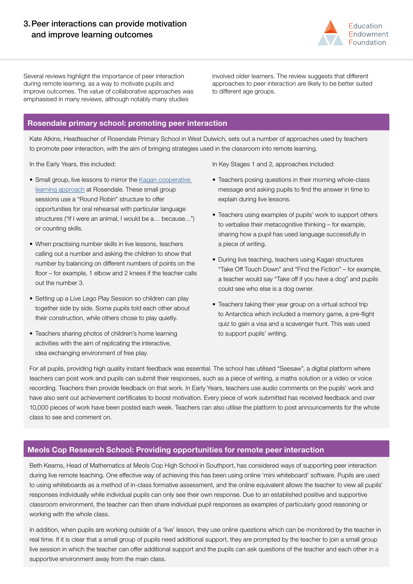

Several reviews highlight the importance of peer interaction during remote learning, as a way to motivate pupils and improve outcomes. The value of collaborative approaches was emphasised in many reviews, although notably many studies

involved older learners. The review suggests that different approaches to peer interaction are likely to be better suited to different age groups.

# **Rosendale primary school: promoting peer interaction**

Kate Atkins, Headteacher of Rosendale Primary School in West Dulwich, sets out a number of approaches used by teachers to promote peer interaction, with the aim of bringing strategies used in the classroom into remote learning.

In the Early Years, this included:

- Small group, live lessons to mirror the Kagan cooperative [learning approach](https://www.rosendale.cc/school-curriculum-2/our-pedagogy/) at Rosendale. These small group sessions use a "Round Robin" structure to offer opportunities for oral rehearsal with particular language structures ("If I were an animal, I would be a… because…") or counting skills.
- When practising number skills in live lessons, teachers calling out a number and asking the children to show that number by balancing on different numbers of points on the floor – for example, 1 elbow and 2 knees if the teacher calls out the number 3.
- Setting up a Live Lego Play Session so children can play together side by side. Some pupils told each other about their construction, while others chose to play quietly.
- Teachers sharing photos of children's home learning activities with the aim of replicating the interactive, idea exchanging environment of free play.

In Key Stages 1 and 2, approaches included:

- Teachers posing questions in their morning whole-class message and asking pupils to find the answer in time to explain during live lessons.
- Teachers using examples of pupils' work to support others to verbalise their metacognitive thinking – for example, sharing how a pupil has used language successfully in a piece of writing.
- During live teaching, teachers using Kagan structures "Take Off Touch Down" and "Find the Fiction" – for example, a teacher would say "Take off if you have a dog" and pupils could see who else is a dog owner.
- Teachers taking their year group on a virtual school trip to Antarctica which included a memory game, a pre-flight quiz to gain a visa and a scavenger hunt. This was used to support pupils' writing.

For all pupils, providing high quality instant feedback was essential. The school has utilised "Seesaw", a digital platform where teachers can post work and pupils can submit their responses, such as a piece of writing, a maths solution or a video or voice recording. Teachers then provide feedback on that work. In Early Years, teachers use audio comments on the pupils' work and have also sent out achievement certificates to boost motivation. Every piece of work submitted has received feedback and over 10,000 pieces of work have been posted each week. Teachers can also utilise the platform to post announcements for the whole class to see and comment on.

#### **Meols Cop Research School: Providing opportunities for remote peer interaction**

Beth Kearns, Head of Mathematics at Meols Cop High School in Southport, has considered ways of supporting peer interaction during live remote teaching. One effective way of achieving this has been using online 'mini whiteboard' software. Pupils are used to using whiteboards as a method of in-class formative assessment, and the online equivalent allows the teacher to view all pupils' responses individually while individual pupils can only see their own response. Due to an established positive and supportive classroom environment, the teacher can then share individual pupil responses as examples of particularly good reasoning or working with the whole class.

In addition, when pupils are working outside of a 'live' lesson, they use online questions which can be monitored by the teacher in real time. If it is clear that a small group of pupils need additional support, they are prompted by the teacher to join a small group live session in which the teacher can offer additional support and the pupils can ask questions of the teacher and each other in a supportive environment away from the main class.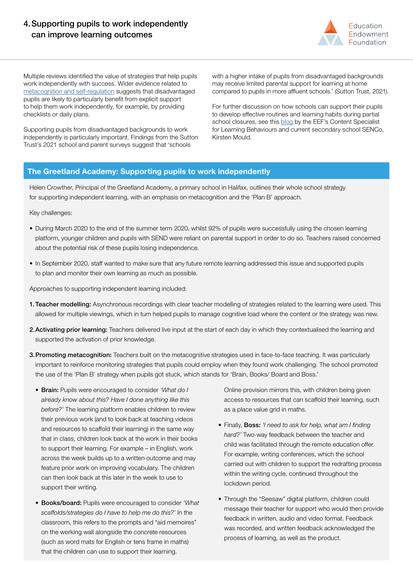# 4.Supporting pupils to work independently can improve learning outcomes



Multiple reviews identified the value of strategies that help pupils work independently with success. Wider evidence related to [metacognition and self-regulation](https://educationendowmentfoundation.org.uk/tools/guidance-reports/metacognition-and-self-regulated-learning/) suggests that disadvantaged pupils are likely to particularly benefit from explicit support to help them work independently, for example, by providing checklists or daily plans.

Supporting pupils from disadvantaged backgrounds to work independently is particularly important. Findings from the Sutton Trust's 2021 school and parent surveys suggest that 'schools

with a higher intake of pupils from disadvantaged backgrounds may receive limited parental support for learning at home compared to pupils in more affluent schools.' (Sutton Trust, 2021).

For further discussion on how schools can support their pupils to develop effective routines and learning habits during partial school closures, see this [blog](https://educationendowmentfoundation.org.uk/news/eef-blog-new-year-new-lockdown-a-renewed-challenge/) by the EEF's Content Specialist for Learning Behaviours and current secondary school SENCo, Kirsten Mould.

#### **The Greetland Academy: Supporting pupils to work independently**

Helen Crowther, Principal of the Greetland Academy, a primary school in Halifax, outlines their whole school strategy for supporting independent learning, with an emphasis on metacognition and the 'Plan B' approach.

Key challenges:

- During March 2020 to the end of the summer term 2020, whilst 92% of pupils were successfully using the chosen learning platform, younger children and pupils with SEND were reliant on parental support in order to do so. Teachers raised concerned about the potential risk of these pupils losing independence.
- In September 2020, staff wanted to make sure that any future remote learning addressed this issue and supported pupils to plan and monitor their own learning as much as possible.

Approaches to supporting independent learning included:

- **1. Teacher modelling:** Asynchronous recordings with clear teacher modelling of strategies related to the learning were used. This allowed for multiple viewings, which in turn helped pupils to manage cognitive load where the content or the strategy was new.
- 2. Activating prior learning: Teachers delivered live input at the start of each day in which they contextualised the learning and supported the activation of prior knowledge.
- 3. Promoting metacognition: Teachers built on the metacognitive strategies used in face-to-face teaching. It was particularly important to reinforce monitoring strategies that pupils could employ when they found work challenging. The school promoted the use of the 'Plan B' strategy when pupils got stuck, which stands for 'Brain, Books/ Board and Boss.'
	- Brain: Pupils were encouraged to consider *'What do I already know about this? Have I done anything like this before?'* The learning platform enables children to review their previous work (and to look back at teaching videos and resources to scaffold their learning) in the same way that in class, children look back at the work in their books to support their learning. For example – in English, work across the week builds up to a written outcome and may feature prior work on improving vocabulary. The children can then look back at this later in the week to use to support their writing.
	- Books/board: Pupils were encouraged to consider *'What scaffolds/strategies do I have to help me do this?'* In the classroom, this refers to the prompts and "aid memoires" on the working wall alongside the concrete resources (such as word mats for English or tens frame in maths) that the children can use to support their learning.

Online provision mirrors this, with children being given access to resources that can scaffold their learning, such as a place value grid in maths.

- Finally, Boss: *'I need to ask for help, what am I finding hard?'* Two-way feedback between the teacher and child was facilitated through the remote education offer. For example, writing conferences, which the school carried out with children to support the redrafting process within the writing cycle, continued throughout the lockdown period.
- Through the "Seesaw" digital platform, children could message their teacher for support who would then provide feedback in written, audio and video format. Feedback was recorded, and written feedback acknowledged the process of learning, as well as the product.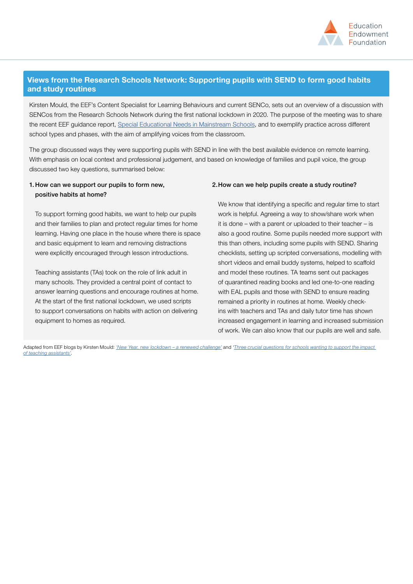

## **Views from the Research Schools Network: Supporting pupils with SEND to form good habits and study routines**

Kirsten Mould, the EEF's Content Specialist for Learning Behaviours and current SENCo, sets out an overview of a discussion with SENCos from the Research Schools Network during the first national lockdown in 2020. The purpose of the meeting was to share the recent EEF guidance report, [Special Educational Needs in Mainstream Schools](https://educationendowmentfoundation.org.uk/tools/guidance-reports/special-educational-needs-disabilities/), and to exemplify practice across different school types and phases, with the aim of amplifying voices from the classroom.

The group discussed ways they were supporting pupils with SEND in line with the best available evidence on remote learning. With emphasis on local context and professional judgement, and based on knowledge of families and pupil voice, the group discussed two key questions, summarised below:

#### 1. How can we support our pupils to form new, positive habits at home?

To support forming good habits, we want to help our pupils and their families to plan and protect regular times for home learning. Having one place in the house where there is space and basic equipment to learn and removing distractions were explicitly encouraged through lesson introductions.

Teaching assistants (TAs) took on the role of link adult in many schools. They provided a central point of contact to answer learning questions and encourage routines at home. At the start of the first national lockdown, we used scripts to support conversations on habits with action on delivering equipment to homes as required.

#### 2.How can we help pupils create a study routine?

We know that identifying a specific and regular time to start work is helpful. Agreeing a way to show/share work when it is done – with a parent or uploaded to their teacher – is also a good routine. Some pupils needed more support with this than others, including some pupils with SEND. Sharing checklists, setting up scripted conversations, modelling with short videos and email buddy systems, helped to scaffold and model these routines. TA teams sent out packages of quarantined reading books and led one-to-one reading with EAL pupils and those with SEND to ensure reading remained a priority in routines at home. Weekly checkins with teachers and TAs and daily tutor time has shown increased engagement in learning and increased submission of work. We can also know that our pupils are well and safe.

Adapted from EEF blogs by Kirsten Mould: *['New Year, new lockdown – a renewed challenge'](https://educationendowmentfoundation.org.uk/news/eef-blog-new-year-new-lockdown-a-renewed-challenge/)* and *'[Three crucial questions for schools wanting to support the impact](https://educationendowmentfoundation.org.uk/news/eef-blog-lets-talk-about-the-impact-of-teaching-assistants/)  [of teaching assistants'](https://educationendowmentfoundation.org.uk/news/eef-blog-lets-talk-about-the-impact-of-teaching-assistants/)*.